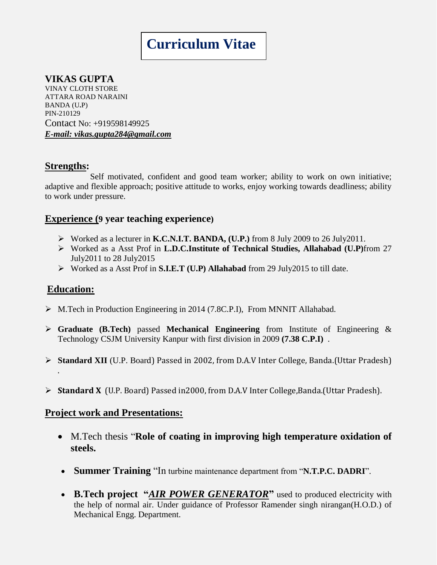# **Curriculum Vitae**

# **VIKAS GUPTA**

VINAY CLOTH STORE ATTARA ROAD NARAINI BANDA (U**.**P) PIN-210129 Contact No: +919598149925 *E-mail: vikas.gupta284@gmail.com*

#### **Strengths:**

 Self motivated, confident and good team worker; ability to work on own initiative; adaptive and flexible approach; positive attitude to works, enjoy working towards deadliness; ability to work under pressure.

## **Experience (9 year teaching experience)**

- Worked as a lecturer in **K.C.N.I.T. BANDA, (U.P.)** from 8 July 2009 to 26 July2011.
- Worked as a Asst Prof in **L.D.C.Institute of Technical Studies, Allahabad (U.P)**from 27 July2011 to 28 July2015
- Worked as a Asst Prof in **S.I.E.T (U.P) Allahabad** from 29 July2015 to till date.

#### **Education:**

- M.Tech in Production Engineering in 2014 (7.8C.P.I), From MNNIT Allahabad.
- **Graduate (B.Tech)** passed **Mechanical Engineering** from Institute of Engineering & Technology CSJM University Kanpur with first division in 2009 **(7.38 C.P.I)** .
- **Standard XII** (U.P. Board) Passed in 2002, from D.A.V Inter College, Banda.(Uttar Pradesh) .
- **Standard X** (U.P. Board) Passed in2000, from D.A.V Inter College,Banda.(Uttar Pradesh).

#### **Project work and Presentations:**

- M.Tech thesis "**Role of coating in improving high temperature oxidation of steels.**
- **Summer Training** "In turbine maintenance department from "**N.T.P.C. DADRI**".
- **B.Tech project "***AIR POWER GENERATOR***"** used to produced electricity with the help of normal air. Under guidance of Professor Ramender singh nirangan(H.O.D.) of Mechanical Engg. Department.